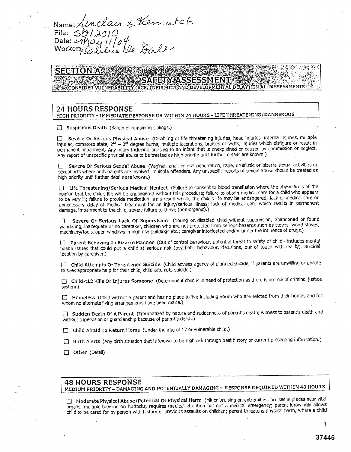Name: Name: <u>A</u>enclain & Kematch Date: Worker

### **SECTION A**

## **SAFETY ASSESSMENT** CONSIDER VULNERABILITY, (AGE, INFIRMITY, AND DEVELOPMENTAL DELAY) IN ALL ASSESSMENTS

#### 24 HOURS RESPONSE HIGH PRIORITY - IMMEDIATE RESPONSE OR WITHIN 24 HOURS - LIFE THREATENING/DANGEROUS

□ Suspicious Death (Safety of remaining siblings.)

0 Severe Or Serious Physical Abuse (Disabling or life threatening injuries, head injuries, internal Injuries, multiple Injuries, comatose state, 2<sup>nd</sup> – 3<sup>nd</sup> degree bums, multiple lacerations, bruises or welts, injuries which disfigure or result in permanent Impairment. Any Injury including bruising to an Infant that is unexplained or caused by commission or neglect. Any report of unspecific physical abuse to be treated as high priority until further details are known.)

□ Severe Or Serious Sexual Abuse (Vaginal, anal, or oral penetration, rape, ritualistic or bizarre sexual activities or sexual acts where both parents are Involved, multiple offenders. Any unspecific reports of sexual abuse should be treated as high priority until further details are known.)

❑ Life Threatening/Serious Medical Neglect (Failure to consent to blood transfusion where the physician is of the opinion that the child's life will be endangered without this procedure; failure to obtain medical care for a child who appears to be very ill; failure to provide medication, as a result which, the child's life may be endangered; lack of medical care or unnecessary delay of medical treatment for an injury/serious Illness; lack of medical care which results in permanent damage, impairment to the child, severe failure to thrive (non-organic).)

□ Severe Or Serious Lack Of Supervision (Young or disabled child without supervision, abandoned or found wandering, Inadequate or no caretaker, children who are not protected from serious hazards such as stoves, wood stoves, machinery/tools, open windows in high rise buildings etc.; caregiver intoxicated and/or under the influence of drugs.)

□ Parent Behaving In Bizarre Manner (Out of control behaviour, potential threat to safety of child - includes mental health issues that could put a child at serious risk (psychotic behaviour, delusions, out of touch with reality). Suicidal ideation by caregiver.)

❑ Child Attempts Or Threatened Suicide (Child advises agency of planned suicide, if parents are unwilling or unable to seek appropriate help for their child, child attempts suicide.)

0 Child<12 Kills Or Injures Someone (Determine if child is in need of protection as there is no role of criminal justice system.)

❑ Homeless (Child without a parent and has no place to live including youth who are evicted from their homes and for whom no alternate living arrangements have been made.)

□ Sudden Death Of A Parent (Traumatized by nature and suddenness of parent's death; witness to parent's death and without supervision or guardianship because of parent's death.)

□ Child Afraid To Return Home (Under the age of 12 or vulnerable child.)

❑ . Birth Alerts (Any birth situation that Is known to be high risk through past history or current presenting information.)

❑ Other (Detail)

#### 48 HOURS RESPONSE MEDIUM PRIORITY — DAMAGING AND POTENTIALLY DAMAGING — RESPONSE REQUIRED WITHIN 48 HOURS

❑ Moderate Physical Abuse/Potential Of Physical Harm (Minor bruising on extremities, bruises in places near vital organs, multiple bruising on buttocks, requires medical attention but not a medical emergency; parent knowingly allows child to be cared for by person with history of previous assaults on children; parent threatens physical harm, where a child

1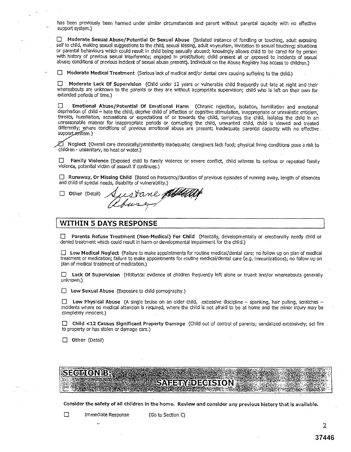has been previously been harmed under similar circumstances and parent without parental capacity with no effective support system.)

❑ Moderate Sexual Abuse/Potential Or Sexual Abuse (Isolated instance of fondling or touching, adult exposing self to child, making sexual suggestions to the child, sexual kissing', adult voyeurism, invitation to sexual touching; situations or parental behaviours which could result In child being sexually abused; knowingly allows child to be cared for by person with history of previous sexual Interference; engaged In prostitution; child present at or exposed to incidents of sexual abuse; conditions of previous Incident of sexual abuse present). Individual on the Abuse Registry has access to children.)

❑ Moderate Medical Treatment (Serious lack of medical and/or dental care causing suffering to the child.)

 $\Box$  Moderate Lack Of Supervision (Child under 12 years or vulnerable child frequently out late at night and their whereabouts are unknown to the parents or they are without appropriate supervision; child who is left on their own for extended periods of time.)

❑ Emotional Abuse/Potential Of Emotional Harm (Chronic rejection, isolation, humiliation and emotional deprivation of child - hate the child, deprive child of affection or cognitive stimulation, inappropriate or unrealistic criticism, threats, humiliation, accusations or expectations of or towards the child, terrorizes the child, isolates the child In an unreasonable manner for inappropriate periods or corrupting the child, unwanted child, child is viewed and treated differently; where conditions of previous emotional abuse are present; inadequate parental capacity with no effective. support system.)

Neglect (Overall care chronically/persistently inadequate; caregivers lack food; physical living conditions pose a risk to children - unsanitary, no heat or water.)

❑ Family Violence (Exposed child to family violence or severe conflict, child witness to serious or repeated family violence, potential victim of assault if continues.)

❑ Runaway, Or Missing Child (Based on frequency/duration of previous episodes of running away, length of absences and child of special needs, disability of vulnerability.)

❑ Other (Detail)

#### WITHIN 5 DAYS RESPONSE

❑ Parents Refuse Treatment (Non-Medical) For Child (Mentally, developmentally or emotionally needy child or denied treatment which could result in harm or developmental impairment for the child.)

❑ Low Medical Neglect (Failure to make appointments for routine medical/dental care; no follow up on plan of medical treatment or medication; failure to make appointments for routine medical/dental care (e.g. immunizations); no follow up on plan of medical treatment of medication.)

❑ Lack Of Supervision (Historical evidence of children frequently left alone or truant and/or whereabouts generally unknown.)

 $\Box$  Low Sexual Abuse (Exposure to child pornography.)

❑ Low Physical Abuse (A single bruise on an older child, excessive discipline — spanking, hair pulling, scratches incidents where no medical attention Is required, where the child Is not afraid to be at home and the minor injury may be completely innocent.)

❑ Child <12 Causes Significant Property Damage (Child out of control of parents; vandalized extensively; set fire to property or has stolen or damage cars.)

□ Other (Detail)

 $\bullet$  N iB  $\ddotsc$  . V if  $\ddotsc$  - see :  $\ddotsc$  ,  $\ddotsc$  ,  $\ddotsc$  ,  $\ddotsc$  ,  $\ddotsc$  ,  $\ddotsc$  ,  $\ddotsc$  ,  $\ddotsc$  ,  $\ddotsc$  ,  $\ddotsc$  ,  $\ddotsc$  ,  $\ddotsc$  ,  $\ddotsc$  ,  $\ddotsc$  ,  $\ddotsc$  ,  $\ddotsc$  ,  $\ddotsc$  ,  $\ddotsc$  ,  $\ddotsc$  ,  $\ddotsc$  ,  $\$ .. . ~••, . R,  $R$  - Ga.  $\sim$  in a city. The state  $\sim$  and  $\sim$   $\sim$   $\sim$   $\sim$   $\sim$ u ?; ~ \_'~:,~ ~ S '`F~a::.~~~\*~:L'#'.e. "S`>;:;t x~i `~,..~ : *.7F .\_:* %?l.L.lr ., ~'-'. e ~' ~f~, F~, ~q. 'C•~~ ~3~ .•a;. •:~. ...~i.';q. 'R!~..~:~. '3; t`tt:•, 'F4t~eSQ'ag.CN. ~;,, a ~ ., a,i~ ,~]t ~ ys  $\overline{\text{SME}}$   $\overline{\text{SME}}$   $\overline{\text{SME}}$   $\overline{\text{SME}}$   $\overline{\text{SME}}$   $\overline{\text{SME}}$   $\overline{\text{SUS}}$   $\overline{\text{SUS}}$  $\mathcal{L} = \mathcal{L} \mathcal{L} = \mathcal{L} \mathcal{L} \mathcal{L} = \mathcal{L} \mathcal{L} \mathcal{L} \mathcal{L} \mathcal{L} \mathcal{L} \mathcal{L} \mathcal{L} \mathcal{L} \mathcal{L} \mathcal{L} \mathcal{L} \mathcal{L} \mathcal{L} \mathcal{L} \mathcal{L} \mathcal{L} \mathcal{L} \mathcal{L} \mathcal{L} \mathcal{L} \mathcal{L} \mathcal{L} \mathcal{L} \mathcal{L} \mathcal{L} \mathcal{L} \mathcal{L} \mathcal{L} \mathcal{L} \$ n.~.l.~ 1• w'.l i L' -1 ~.'SL~l 3 N.r : G,~+ ..Al i• CS.)r Y~L'~IK=F~Y'I)•) FRANCE COMPANY

Consider the safety of all children In the home. Review and consider any previous history that is available.

 $\ddot{\phantom{a}}$ 

 $\overline{2}$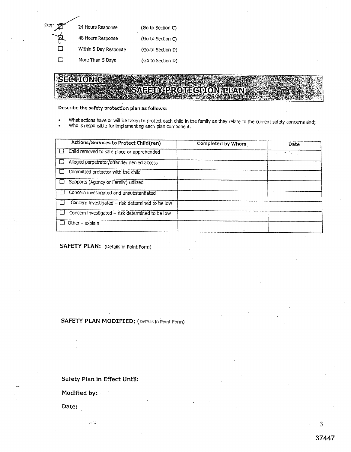| 24 Hours Response     | (Go to Section C) |
|-----------------------|-------------------|
| 48 Hours Response     | (Go to Section C) |
| Within 5 Day Response | (Go.to Section D) |
| More Than 5 Days      | (Go to Section D) |

# **SECTION C:**

# SAFETY PROTECTION PLAN

Describe the **safety protection plan as follows:** 

- What actions have or will be taken to protect each child in the family as they relate to the current safety concerns and;
- Who is responsible for implementing each plan component.

|        | Actions/Services to Protect Child(ren)           | Completed by Whom | Date |
|--------|--------------------------------------------------|-------------------|------|
|        | Child removed to safe place or apprehended       |                   |      |
|        | Alleged perpetrator/offender denied access       |                   |      |
|        | Committed protector with the child               |                   |      |
|        | Supports (Agency or Family) utilized             |                   |      |
| $\Box$ | Concern investigated and unsubstantiated         |                   |      |
|        | Concern investigated - risk determined to be low |                   |      |
|        | Concem investigated - risk determined to be low  |                   |      |
|        | Other - explain                                  |                   |      |

SAFETY PLAN: (Details in Point Form)

#### SAFETY PLAN MODIFIED: (Details In Point Form)

Safety Plan in Effect Until:

Modified by:.

 $\sim$   $^{\prime}$  .

Date: